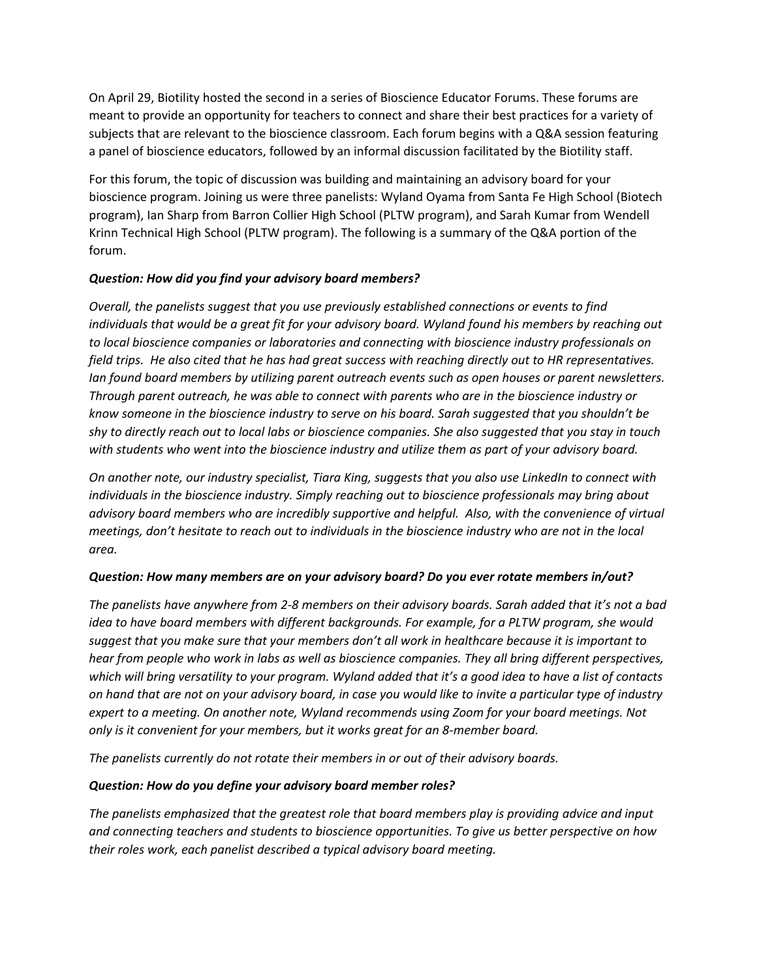On April 29, Biotility hosted the second in a series of Bioscience Educator Forums. These forums are meant to provide an opportunity for teachers to connect and share their best practices for a variety of subjects that are relevant to the bioscience classroom. Each forum begins with a Q&A session featuring a panel of bioscience educators, followed by an informal discussion facilitated by the Biotility staff.

For this forum, the topic of discussion was building and maintaining an advisory board for your bioscience program. Joining us were three panelists: Wyland Oyama from Santa Fe High School (Biotech program), Ian Sharp from Barron Collier High School (PLTW program), and Sarah Kumar from Wendell Krinn Technical High School (PLTW program). The following is a summary of the Q&A portion of the forum.

## *Question: How did you find your advisory board members?*

*Overall, the panelists suggest that you use previously established connections or events to find individuals that would be a great fit for your advisory board. Wyland found his members by reaching out to local bioscience companies or laboratories and connecting with bioscience industry professionals on field trips. He also cited that he has had great success with reaching directly out to HR representatives. Ian found board members by utilizing parent outreach events such as open houses or parent newsletters. Through parent outreach, he was able to connect with parents who are in the bioscience industry or know someone in the bioscience industry to serve on his board. Sarah suggested that you shouldn't be shy to directly reach out to local labs or bioscience companies. She also suggested that you stay in touch with students who went into the bioscience industry and utilize them as part of your advisory board.*

*On another note, our industry specialist, Tiara King, suggests that you also use LinkedIn to connect with individuals in the bioscience industry. Simply reaching out to bioscience professionals may bring about advisory board members who are incredibly supportive and helpful. Also, with the convenience of virtual meetings, don't hesitate to reach out to individuals in the bioscience industry who are not in the local area.* 

### *Question: How many members are on your advisory board? Do you ever rotate members in/out?*

*The panelists have anywhere from 2-8 members on their advisory boards. Sarah added that it's not a bad idea to have board members with different backgrounds. For example, for a PLTW program, she would suggest that you make sure that your members don't all work in healthcare because it is important to hear from people who work in labs as well as bioscience companies. They all bring different perspectives, which will bring versatility to your program. Wyland added that it's a good idea to have a list of contacts on hand that are not on your advisory board, in case you would like to invite a particular type of industry expert to a meeting. On another note, Wyland recommends using Zoom for your board meetings. Not only is it convenient for your members, but it works great for an 8-member board.*

*The panelists currently do not rotate their members in or out of their advisory boards.*

### *Question: How do you define your advisory board member roles?*

*The panelists emphasized that the greatest role that board members play is providing advice and input and connecting teachers and students to bioscience opportunities. To give us better perspective on how their roles work, each panelist described a typical advisory board meeting.*